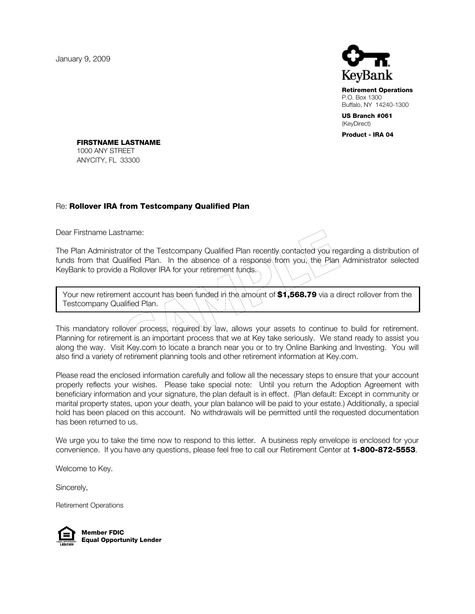January 9, 2009



**Retirement Operations** P.O. Box 1300 Buffalo, NY 14240-1300

**US Branch #061** (KeyDirect)

**Product - IRA 04**

**FIRSTNAME LASTNAME** 1000 ANY STREET ANYCITY, FL 33300

#### Re: **Rollover IRA from Testcompany Qualified Plan**

Dear Firstname Lastname:

The Plan Administrator of the Testcompany Qualified Plan recently contacted you regarding a distribution of funds from that Qualified Plan. In the absence of a response from you, the Plan Administrator selected KeyBank to provide a Rollover IRA for your retirement funds.

Your new retirement account has been funded in the amount of \$1,568.79 via a direct rollover from the Testcompany Qualified Plan.

This mandatory rollover process, required by law, allows your assets to continue to build for retirement. Planning for retirement is an important process that we at Key take seriously. We stand ready to assist you along the way. Visit Key.com to locate a branch near you or to try Online Banking and Investing. You will also find a variety of retirement planning tools and other retirement information at Key.com.

Please read the enclosed information carefully and follow all the necessary steps to ensure that your account properly reflects your wishes. Please take special note: Until you return the Adoption Agreement with beneficiary information and your signature, the plan default is in effect. (Plan default: Except in community or marital property states, upon your death, your plan balance will be paid to your estate.) Additionally, a special hold has been placed on this account. No withdrawals will be permitted until the requested documentation has been returned to us.

We urge you to take the time now to respond to this letter. A business reply envelope is enclosed for your convenience. If you have any questions, please feel free to call our Retirement Center at **1-800-872-5553**.

Welcome to Key.

Sincerely,

Retirement Operations

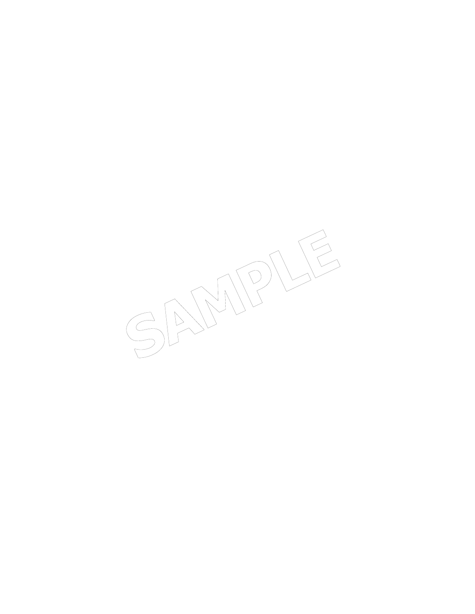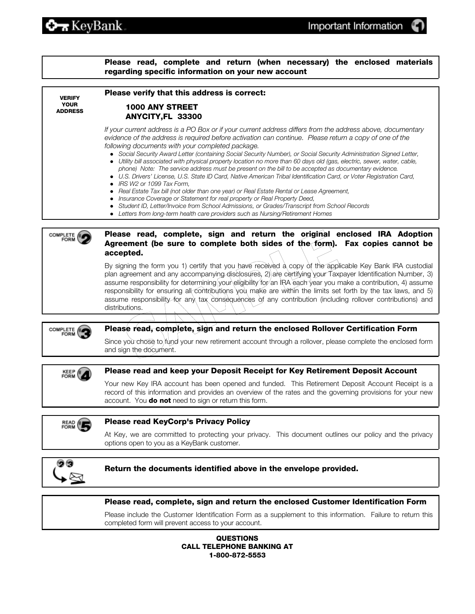# .KeyBank א<del>מ</del>

|                                                | Please read, complete and return (when necessary) the enclosed materials<br>regarding specific information on your new account                                                                                                                                                                                                                                                                                                                                                                                                                                                                                                                                                                                                                                                                                                                                                                                                                                                                                                                                                                                                                            |  |  |  |  |
|------------------------------------------------|-----------------------------------------------------------------------------------------------------------------------------------------------------------------------------------------------------------------------------------------------------------------------------------------------------------------------------------------------------------------------------------------------------------------------------------------------------------------------------------------------------------------------------------------------------------------------------------------------------------------------------------------------------------------------------------------------------------------------------------------------------------------------------------------------------------------------------------------------------------------------------------------------------------------------------------------------------------------------------------------------------------------------------------------------------------------------------------------------------------------------------------------------------------|--|--|--|--|
| <b>VERIFY</b><br><b>YOUR</b><br><b>ADDRESS</b> | Please verify that this address is correct:<br><b>1000 ANY STREET</b><br>ANYCITY,FL 33300                                                                                                                                                                                                                                                                                                                                                                                                                                                                                                                                                                                                                                                                                                                                                                                                                                                                                                                                                                                                                                                                 |  |  |  |  |
|                                                | If your current address is a PO Box or if your current address differs from the address above, documentary<br>evidence of the address is required before activation can continue. Please return a copy of one of the<br>following documents with your completed package.<br>· Social Security Award Letter (containing Social Security Number), or Social Security Administration Signed Letter,<br>• Utility bill associated with physical property location no more than 60 days old (gas, electric, sewer, water, cable,<br>phone) Note: The service address must be present on the bill to be accepted as documentary evidence.<br>• U.S. Drivers' License, U.S. State ID Card, Native American Tribal Identification Card, or Voter Registration Card,<br>• IRS W2 or 1099 Tax Form,<br>• Real Estate Tax bill (not older than one year) or Real Estate Rental or Lease Agreement,<br>• Insurance Coverage or Statement for real property or Real Property Deed,<br>• Student ID, Letter/Invoice from School Admissions, or Grades/Transcript from School Records<br>• Letters from long-term health care providers such as Nursing/Retirement Homes |  |  |  |  |
| COMPLETE<br>FORM                               | Please read, complete, sign and return the original enclosed IRA Adoption<br>Agreement (be sure to complete both sides of the form). Fax copies cannot be<br>accepted.                                                                                                                                                                                                                                                                                                                                                                                                                                                                                                                                                                                                                                                                                                                                                                                                                                                                                                                                                                                    |  |  |  |  |
|                                                | By signing the form you 1) certify that you have received a copy of the applicable Key Bank IRA custodial<br>plan agreement and any accompanying disclosures, 2) are certifying your Taxpayer Identification Number, 3)<br>assume responsibility for determining your eligibility for an IRA each year you make a contribution, 4) assume<br>responsibility for ensuring all contributions you make are within the limits set forth by the tax laws, and 5)<br>assume responsibility for any tax consequences of any contribution (including rollover contributions) and<br>distributions.                                                                                                                                                                                                                                                                                                                                                                                                                                                                                                                                                                |  |  |  |  |
|                                                |                                                                                                                                                                                                                                                                                                                                                                                                                                                                                                                                                                                                                                                                                                                                                                                                                                                                                                                                                                                                                                                                                                                                                           |  |  |  |  |
| COMPLETE                                       | Please read, complete, sign and return the enclosed Rollover Certification Form<br>Since you chose to fund your new retirement account through a rollover, please complete the enclosed form<br>and sign the document.                                                                                                                                                                                                                                                                                                                                                                                                                                                                                                                                                                                                                                                                                                                                                                                                                                                                                                                                    |  |  |  |  |
|                                                |                                                                                                                                                                                                                                                                                                                                                                                                                                                                                                                                                                                                                                                                                                                                                                                                                                                                                                                                                                                                                                                                                                                                                           |  |  |  |  |
|                                                | Please read and keep your Deposit Receipt for Key Retirement Deposit Account<br>Your new Key IRA account has been opened and funded. This Retirement Deposit Account Receipt is a<br>record of this information and provides an overview of the rates and the governing provisions for your new<br>account. You do not need to sign or return this form.                                                                                                                                                                                                                                                                                                                                                                                                                                                                                                                                                                                                                                                                                                                                                                                                  |  |  |  |  |
| <b>READ<br/>FORM</b>                           | <b>Please read KeyCorp's Privacy Policy</b>                                                                                                                                                                                                                                                                                                                                                                                                                                                                                                                                                                                                                                                                                                                                                                                                                                                                                                                                                                                                                                                                                                               |  |  |  |  |
|                                                | At Key, we are committed to protecting your privacy. This document outlines our policy and the privacy<br>options open to you as a KeyBank customer.                                                                                                                                                                                                                                                                                                                                                                                                                                                                                                                                                                                                                                                                                                                                                                                                                                                                                                                                                                                                      |  |  |  |  |
| ಅ ಆ                                            | Return the documents identified above in the envelope provided.                                                                                                                                                                                                                                                                                                                                                                                                                                                                                                                                                                                                                                                                                                                                                                                                                                                                                                                                                                                                                                                                                           |  |  |  |  |
|                                                | Please read, complete, sign and return the enclosed Customer Identification Form                                                                                                                                                                                                                                                                                                                                                                                                                                                                                                                                                                                                                                                                                                                                                                                                                                                                                                                                                                                                                                                                          |  |  |  |  |
|                                                | Please include the Customer Identification Form as a supplement to this information. Failure to return this<br>completed form will prevent access to your account.                                                                                                                                                                                                                                                                                                                                                                                                                                                                                                                                                                                                                                                                                                                                                                                                                                                                                                                                                                                        |  |  |  |  |

**QUESTIONS CALL TELEPHONE BANKING AT 1-800-872-5553**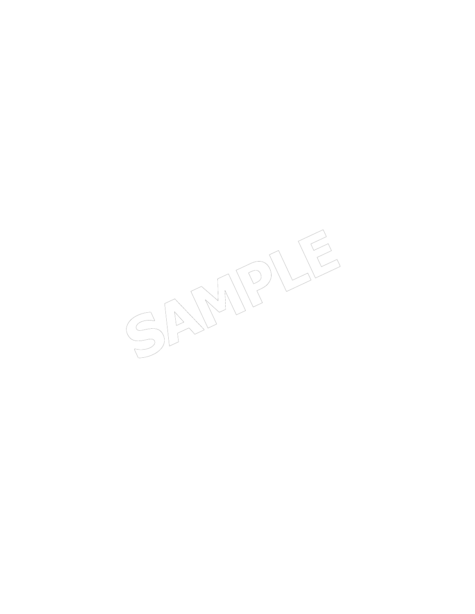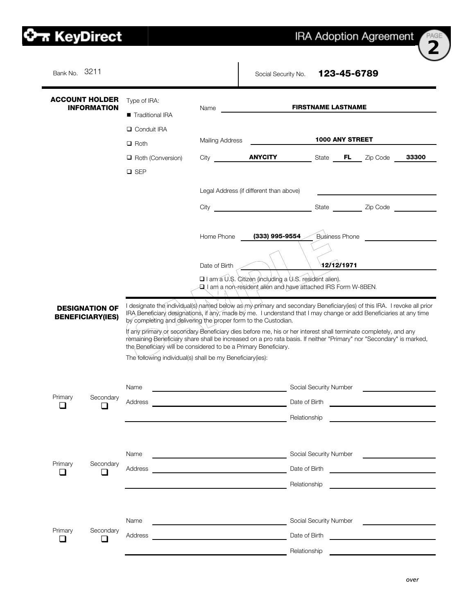| ਨ KeyDirect                                      |                                                                                                                                                                                                |                                                                                                                     | <b>IRA Adoption Agreement</b>                                                                                                                                                                                                  |                           |                                                                                                                                                                                                                                                                                                                                                                                                                                                                                        |
|--------------------------------------------------|------------------------------------------------------------------------------------------------------------------------------------------------------------------------------------------------|---------------------------------------------------------------------------------------------------------------------|--------------------------------------------------------------------------------------------------------------------------------------------------------------------------------------------------------------------------------|---------------------------|----------------------------------------------------------------------------------------------------------------------------------------------------------------------------------------------------------------------------------------------------------------------------------------------------------------------------------------------------------------------------------------------------------------------------------------------------------------------------------------|
| Bank No. 3211                                    |                                                                                                                                                                                                |                                                                                                                     | Social Security No. 123-45-6789                                                                                                                                                                                                |                           |                                                                                                                                                                                                                                                                                                                                                                                                                                                                                        |
| <b>ACCOUNT HOLDER</b><br><b>INFORMATION</b>      | Type of IRA:<br>■ Traditional IRA                                                                                                                                                              | Name                                                                                                                |                                                                                                                                                                                                                                | <b>FIRSTNAME LASTNAME</b> |                                                                                                                                                                                                                                                                                                                                                                                                                                                                                        |
|                                                  | □ Conduit IRA                                                                                                                                                                                  |                                                                                                                     |                                                                                                                                                                                                                                |                           |                                                                                                                                                                                                                                                                                                                                                                                                                                                                                        |
|                                                  | $\Box$ Roth                                                                                                                                                                                    | <b>Mailing Address</b>                                                                                              | $\frac{1}{2}$                                                                                                                                                                                                                  | <b>1000 ANY STREET</b>    |                                                                                                                                                                                                                                                                                                                                                                                                                                                                                        |
|                                                  | Roth (Conversion)<br>$\square$ SEP                                                                                                                                                             |                                                                                                                     | City <b>ANYCITY</b> State <b>FL</b> Zip Code                                                                                                                                                                                   |                           | 33300                                                                                                                                                                                                                                                                                                                                                                                                                                                                                  |
|                                                  |                                                                                                                                                                                                |                                                                                                                     | Legal Address (if different than above)                                                                                                                                                                                        |                           |                                                                                                                                                                                                                                                                                                                                                                                                                                                                                        |
|                                                  |                                                                                                                                                                                                |                                                                                                                     | City of the contract of the contract of the contract of the contract of the contract of the contract of the contract of the contract of the contract of the contract of the contract of the contract of the contract of the co |                           | State Zip Code                                                                                                                                                                                                                                                                                                                                                                                                                                                                         |
|                                                  |                                                                                                                                                                                                | Home Phone                                                                                                          | (333) 995-9554                                                                                                                                                                                                                 | <b>Business Phone</b>     |                                                                                                                                                                                                                                                                                                                                                                                                                                                                                        |
|                                                  |                                                                                                                                                                                                | Date of Birth                                                                                                       |                                                                                                                                                                                                                                | 12/12/1971                |                                                                                                                                                                                                                                                                                                                                                                                                                                                                                        |
|                                                  |                                                                                                                                                                                                |                                                                                                                     | I am a U.S. Citizen (including a U.S. resident alien).<br>a I am a non-resident alien and have attached IRS Form W-8BEN.                                                                                                       |                           |                                                                                                                                                                                                                                                                                                                                                                                                                                                                                        |
| <b>DESIGNATION OF</b><br><b>BENEFICIARY(IES)</b> | by completing and delivering the proper form to the Custodian.<br>the Beneficiary will be considered to be a Primary Beneficiary.<br>The following individual(s) shall be my Beneficiary(ies): |                                                                                                                     |                                                                                                                                                                                                                                |                           | I designate the individual(s) named below as my primary and secondary Beneficiary (ies) of this IRA. I revoke all prior<br>IRA Beneticiary designations, if any, made by me. I understand that I may change or add Beneficiaries at any time<br>If any primary of secondary Beneficiary dies before me, his or her interest shall terminate completely, and any<br>remaining Beneticialy share shall be increased on a pro rata basis. If neither "Primary" nor "Secondary" is marked, |
|                                                  | Name                                                                                                                                                                                           |                                                                                                                     |                                                                                                                                                                                                                                |                           | Social Security Number Social Security Number                                                                                                                                                                                                                                                                                                                                                                                                                                          |
| Primary<br>Secondary<br>ப                        | Address                                                                                                                                                                                        | <u> 1989 - Johann Barn, mars ann an t-Amhair ann an t-Amhair an t-Amhair ann an t-Amhair an t-Amhair ann an t-A</u> |                                                                                                                                                                                                                                | Date of Birth             | <u> 1980 - Jan Samuel Barbara, martin a</u>                                                                                                                                                                                                                                                                                                                                                                                                                                            |
|                                                  |                                                                                                                                                                                                |                                                                                                                     |                                                                                                                                                                                                                                | Relationship              |                                                                                                                                                                                                                                                                                                                                                                                                                                                                                        |
|                                                  | Name                                                                                                                                                                                           |                                                                                                                     |                                                                                                                                                                                                                                | Social Security Number    |                                                                                                                                                                                                                                                                                                                                                                                                                                                                                        |
| Primary<br>Secondary<br>❏                        | Address                                                                                                                                                                                        |                                                                                                                     |                                                                                                                                                                                                                                | Date of Birth             |                                                                                                                                                                                                                                                                                                                                                                                                                                                                                        |
|                                                  |                                                                                                                                                                                                |                                                                                                                     |                                                                                                                                                                                                                                | Relationship              |                                                                                                                                                                                                                                                                                                                                                                                                                                                                                        |
|                                                  | Name                                                                                                                                                                                           | the control of the control of the control of the control of the control of                                          |                                                                                                                                                                                                                                | Social Security Number    |                                                                                                                                                                                                                                                                                                                                                                                                                                                                                        |
| Primary<br>Secondary<br>⊔<br>⊔                   | Address                                                                                                                                                                                        |                                                                                                                     |                                                                                                                                                                                                                                | Date of Birth             |                                                                                                                                                                                                                                                                                                                                                                                                                                                                                        |
|                                                  |                                                                                                                                                                                                |                                                                                                                     |                                                                                                                                                                                                                                |                           |                                                                                                                                                                                                                                                                                                                                                                                                                                                                                        |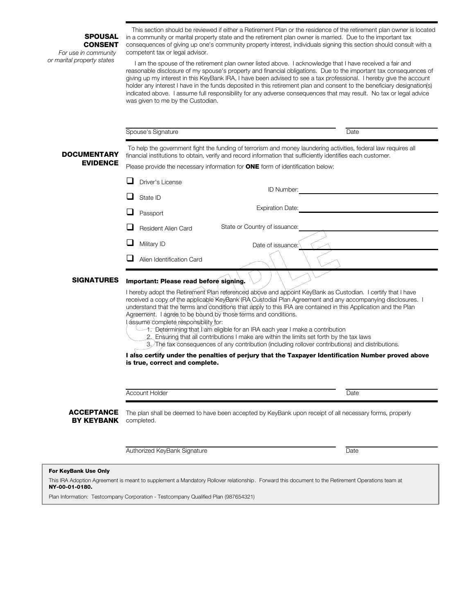# **SPOUSAL CONSENT**

 *For use in community or marital property states* 

This section should be reviewed if either a Retirement Plan or the residence of the retirement plan owner is located in a community or marital property state and the retirement plan owner is married. Due to the important tax consequences of giving up one's community property interest, individuals signing this section should consult with a competent tax or legal advisor.

 I am the spouse of the retirement plan owner listed above. I acknowledge that I have received a fair and reasonable disclosure of my spouse's property and financial obligations. Due to the important tax consequences of giving up my interest in this KeyBank IRA, I have been advised to see a tax professional. I hereby give the account holder any interest I have in the funds deposited in this retirement plan and consent to the beneficiary designation(s) indicated above. I assume full responsibility for any adverse consequences that may result. No tax or legal advice was given to me by the Custodian.

|                                        | Spouse's Signature                                                                                                                                                                                                                                                                                                                                                                                                                                                                                                                                                                            |                                                                                                                                                                                                                                                                                | Date |  |  |
|----------------------------------------|-----------------------------------------------------------------------------------------------------------------------------------------------------------------------------------------------------------------------------------------------------------------------------------------------------------------------------------------------------------------------------------------------------------------------------------------------------------------------------------------------------------------------------------------------------------------------------------------------|--------------------------------------------------------------------------------------------------------------------------------------------------------------------------------------------------------------------------------------------------------------------------------|------|--|--|
| <b>DOCUMENTARY</b>                     | To help the government fight the funding of terrorism and money laundering activities, federal law requires all<br>financial institutions to obtain, verify and record information that sufficiently identifies each customer.                                                                                                                                                                                                                                                                                                                                                                |                                                                                                                                                                                                                                                                                |      |  |  |
| <b>EVIDENCE</b>                        | Please provide the necessary information for <b>ONE</b> form of identification below:                                                                                                                                                                                                                                                                                                                                                                                                                                                                                                         |                                                                                                                                                                                                                                                                                |      |  |  |
|                                        | H<br>Driver's License                                                                                                                                                                                                                                                                                                                                                                                                                                                                                                                                                                         | ID Number:                                                                                                                                                                                                                                                                     |      |  |  |
|                                        | State ID                                                                                                                                                                                                                                                                                                                                                                                                                                                                                                                                                                                      |                                                                                                                                                                                                                                                                                |      |  |  |
|                                        | Passport                                                                                                                                                                                                                                                                                                                                                                                                                                                                                                                                                                                      | <b>Expiration Date:</b>                                                                                                                                                                                                                                                        |      |  |  |
|                                        | Resident Alien Card                                                                                                                                                                                                                                                                                                                                                                                                                                                                                                                                                                           | State or Country of issuance:                                                                                                                                                                                                                                                  |      |  |  |
|                                        | Military ID                                                                                                                                                                                                                                                                                                                                                                                                                                                                                                                                                                                   | Date of issuance:                                                                                                                                                                                                                                                              |      |  |  |
|                                        | Alien Identification Card                                                                                                                                                                                                                                                                                                                                                                                                                                                                                                                                                                     |                                                                                                                                                                                                                                                                                |      |  |  |
| <b>SIGNATURES</b>                      | Important: Please read before signing.                                                                                                                                                                                                                                                                                                                                                                                                                                                                                                                                                        |                                                                                                                                                                                                                                                                                |      |  |  |
|                                        | I hereby adopt the Retirement Rlan referenced above and appoint KeyBank as Custodian. I certify that I have<br>received a copy of the applicable KeyBank (RA Custodial Plan Agreement and any accompanying disclosures. I<br>understand that the terms and conditions that apply to this IRA are contained in this Application and the Plan<br>Agreement. I agree to be bound by those terms and conditions.<br>I assume complete responsibility for:<br>I also certify under the penalties of perjury that the Taxpayer Identification Number proved above<br>is true, correct and complete. | -1. Determining that Dam eligible for an IRA each year I make a contribution<br>2. Ensuring that all contributions I make are within the limits set forth by the tax laws<br>3. The tax consequences of any contribution (including rollover contributions) and distributions. |      |  |  |
|                                        | Account Holder                                                                                                                                                                                                                                                                                                                                                                                                                                                                                                                                                                                |                                                                                                                                                                                                                                                                                | Date |  |  |
| <b>ACCEPTANCE</b><br><b>BY KEYBANK</b> | The plan shall be deemed to have been accepted by KeyBank upon receipt of all necessary forms, properly<br>completed.                                                                                                                                                                                                                                                                                                                                                                                                                                                                         |                                                                                                                                                                                                                                                                                |      |  |  |
|                                        | Authorized KeyBank Signature                                                                                                                                                                                                                                                                                                                                                                                                                                                                                                                                                                  |                                                                                                                                                                                                                                                                                | Date |  |  |
| <b>For KeyBank Use Only</b>            |                                                                                                                                                                                                                                                                                                                                                                                                                                                                                                                                                                                               |                                                                                                                                                                                                                                                                                |      |  |  |
| NY-00-01-0180.                         | This IRA Adoption Agreement is meant to supplement a Mandatory Rollover relationship. Forward this document to the Retirement Operations team at                                                                                                                                                                                                                                                                                                                                                                                                                                              |                                                                                                                                                                                                                                                                                |      |  |  |
|                                        | Plan Information: Testcompany Corporation - Testcompany Qualified Plan (987654321)                                                                                                                                                                                                                                                                                                                                                                                                                                                                                                            |                                                                                                                                                                                                                                                                                |      |  |  |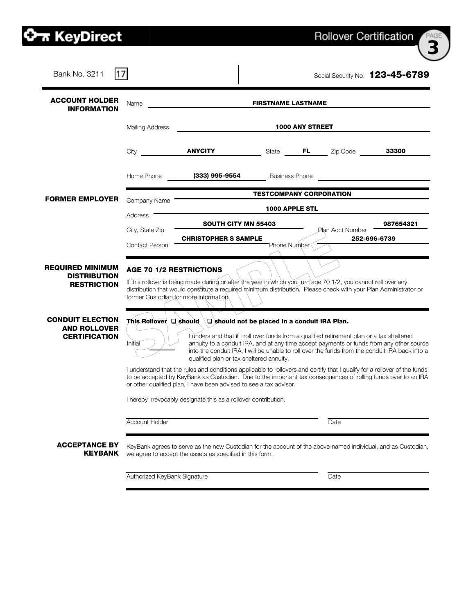| 17<br>Bank No. 3211                                                    |                                                                         | Social Security No. 123-45-6789                                                                                                                                                                                                                                                                                                                                                                                        |
|------------------------------------------------------------------------|-------------------------------------------------------------------------|------------------------------------------------------------------------------------------------------------------------------------------------------------------------------------------------------------------------------------------------------------------------------------------------------------------------------------------------------------------------------------------------------------------------|
| <b>ACCOUNT HOLDER</b><br><b>INFORMATION</b>                            | Name                                                                    | <b>FIRSTNAME LASTNAME</b>                                                                                                                                                                                                                                                                                                                                                                                              |
|                                                                        | <b>Mailing Address</b>                                                  | 1000 ANY STREET                                                                                                                                                                                                                                                                                                                                                                                                        |
|                                                                        |                                                                         | City <b>ANYCITY</b> State <b>FL</b> Zip Code <b>33300</b>                                                                                                                                                                                                                                                                                                                                                              |
|                                                                        | Home Phone (333) 995-9554                                               | <b>Business Phone</b>                                                                                                                                                                                                                                                                                                                                                                                                  |
| <b>FORMER EMPLOYER</b>                                                 | Company Name                                                            | <b>TESTCOMPANY CORPORATION</b>                                                                                                                                                                                                                                                                                                                                                                                         |
|                                                                        | Address                                                                 | 1000 APPLE STL                                                                                                                                                                                                                                                                                                                                                                                                         |
|                                                                        | City, State Zip                                                         | SOUTH CITY MN 55403<br>987654321<br>Plan Acct Number                                                                                                                                                                                                                                                                                                                                                                   |
|                                                                        | <b>CHRISTOPHER S SAMPLE</b><br>Contact Person                           | 252-696-6739<br>Phone Number                                                                                                                                                                                                                                                                                                                                                                                           |
|                                                                        |                                                                         |                                                                                                                                                                                                                                                                                                                                                                                                                        |
| <b>REQUIRED MINIMUM</b><br><b>DISTRIBUTION</b><br><b>RESTRICTION</b>   | <b>AGE 70 1/2 RESTRICTIONS</b><br>former Custodian for more information | If this rollover is being made during or after the year in which you turn age 70 1/2, you cannot roll over any<br>distribution that would constitute a required minimum distribution. Please check with your Plan Administrator or                                                                                                                                                                                     |
| <b>CONDUIT ELECTION</b><br><b>AND ROLLOVER</b><br><b>CERTIFICATION</b> | Initial                                                                 | This Rollover $\Box$ should $\Box$ should not be placed in a conduit IRA Plan.<br>I understand that if I roll over funds from a qualified retirement plan or a tax sheltered<br>annuity to a conduit IRA, and at any time accept payments or funds from any other source<br>into the conduit IRA, I will be unable to roll over the funds from the conduit IRA back into a<br>qualified plan or tax sheltered annuity. |
|                                                                        |                                                                         |                                                                                                                                                                                                                                                                                                                                                                                                                        |
|                                                                        | or other qualified plan, I have been advised to see a tax advisor.      | I understand that the rules and conditions applicable to rollovers and certify that I qualify for a rollover of the funds<br>to be accepted by KeyBank as Custodian. Due to the important tax consequences of rolling funds over to an IRA                                                                                                                                                                             |
|                                                                        | I hereby irrevocably designate this as a rollover contribution.         |                                                                                                                                                                                                                                                                                                                                                                                                                        |
|                                                                        | <b>Account Holder</b>                                                   | Date                                                                                                                                                                                                                                                                                                                                                                                                                   |
| <b>ACCEPTANCE BY</b><br><b>KEYBANK</b>                                 | we agree to accept the assets as specified in this form.                | KeyBank agrees to serve as the new Custodian for the account of the above-named individual, and as Custodian,                                                                                                                                                                                                                                                                                                          |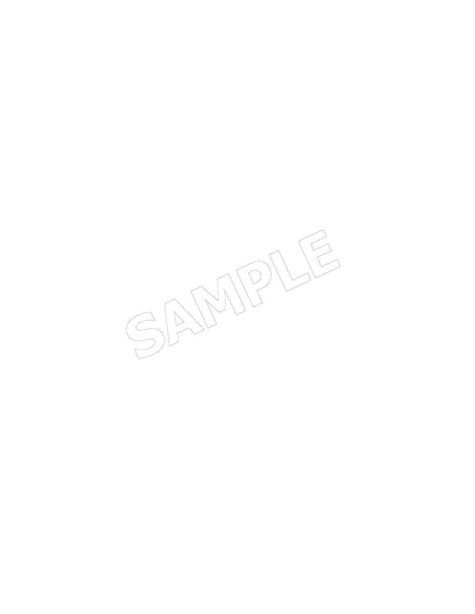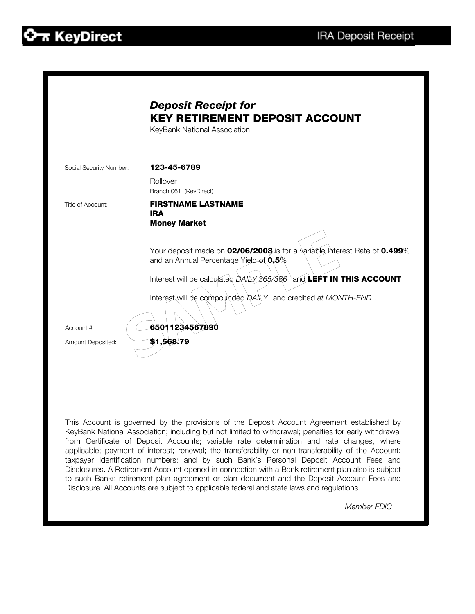**O**n KeyDirect

|                         | <b>Deposit Receipt for</b>                                                                         |
|-------------------------|----------------------------------------------------------------------------------------------------|
|                         | <b>KEY RETIREMENT DEPOSIT ACCOUNT</b><br>KeyBank National Association                              |
|                         |                                                                                                    |
|                         |                                                                                                    |
| Social Security Number: | 123-45-6789                                                                                        |
|                         | Rollover                                                                                           |
|                         | Branch 061 (KeyDirect)                                                                             |
| Title of Account:       | <b>FIRSTNAME LASTNAME</b><br><b>IRA</b>                                                            |
|                         | <b>Money Market</b>                                                                                |
|                         |                                                                                                    |
|                         | Your deposit made on 02/06/2008 is for a variable interest Rate of 0.499%                          |
|                         | and an Annual Percentage Yield of 0.5%                                                             |
|                         | <b><i><u><b>And LEFT IN THIS ACCOUNT</b></u></i>.</b><br>Interest will be calculated DAILY 365/366 |
|                         |                                                                                                    |
|                         | Interest will be compounded DAAY<br>and credited at MONTH-END.                                     |
|                         |                                                                                                    |
| Account #               | 65011234567890                                                                                     |
| Amount Deposited:       | \$1,568.79                                                                                         |
|                         |                                                                                                    |
|                         |                                                                                                    |

This Account is governed by the provisions of the Deposit Account Agreement established by KeyBank National Association; including but not limited to withdrawal; penalties for early withdrawal from Certificate of Deposit Accounts; variable rate determination and rate changes, where applicable; payment of interest; renewal; the transferability or non-transferability of the Account; taxpayer identification numbers; and by such Bank's Personal Deposit Account Fees and Disclosures. A Retirement Account opened in connection with a Bank retirement plan also is subject to such Banks retirement plan agreement or plan document and the Deposit Account Fees and Disclosure. All Accounts are subject to applicable federal and state laws and regulations.

*Member FDIC*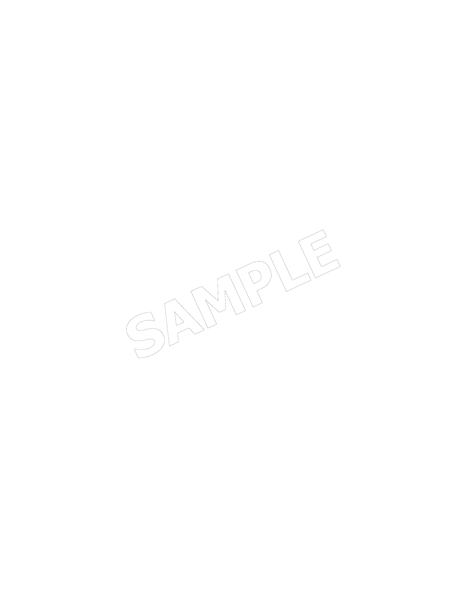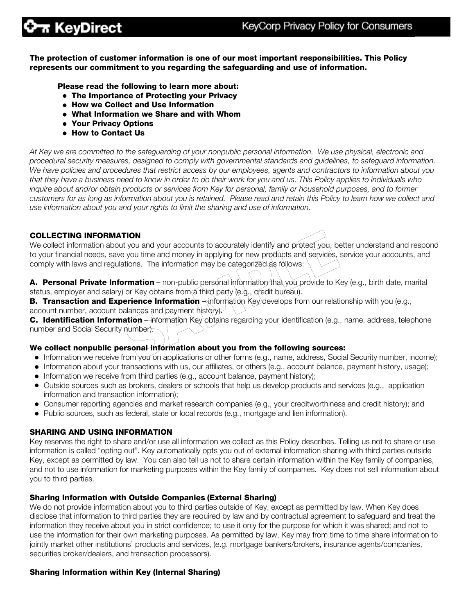**KevDirect** 

**The protection of customer information is one of our most important responsibilities. This Policy represents our commitment to you regarding the safeguarding and use of information.** 

**Please read the following to learn more about:**

- **The Importance of Protecting your Privacy**
- **How we Collect and Use Information**
- **What Information we Share and with Whom**
- **Your Privacy Options**
- z **How to Contact Us**

*At Key we are committed to the safeguarding of your nonpublic personal information. We use physical, electronic and procedural security measures, designed to comply with governmental standards and guidelines, to safeguard information. We have policies and procedures that restrict access by our employees, agents and contractors to information about you that they have a business need to know in order to do their work for you and us. This Policy applies to individuals who inquire about and/or obtain products or services from Key for personal, family or household purposes, and to former customers for as long as information about you is retained. Please read and retain this Policy to learn how we collect and use information about you and your rights to limit the sharing and use of information.*

# **COLLECTING INFORMATION**

We collect information about you and your accounts to accurately identify and protect you, better understand and respond to your financial needs, save you time and money in applying for new products and septices, service your accounts, and comply with laws and regulations. The information may be categorized as follows:

# **A. Personal Private Information** – non-public personal information/that you provide to Key (e.g., birth date, marital

status, employer and salary) or Key obtains from a third party (e.g., oredit bureau).

**B. Transaction and Experience Information**  $\neg$ information Key develops from our relationship with you (e.g.,

account number, account balances and payment history).<br>**C. Identification Information**—information Rey obtain pb<del>i</del>ains regarding your identification (e.g., name, address, telephone number and Social Security number).

# **We collect nonpublic personal information about you from the following sources:**

- Information we receive from you on applications or other forms (e.g., name, address, Social Security number, income);
- z Information about your transactions with us, our affiliates, or others (e.g., account balance, payment history, usage);
- $\bullet$  Information we receive from third parties (e.g., account balance, payment history);
- Outside sources such as brokers, dealers or schools that help us develop products and services (e.g., application information and transaction information);
- Consumer reporting agencies and market research companies (e.g., your creditworthiness and credit history); and
- Public sources, such as federal, state or local records (e.g., mortgage and lien information).

# **SHARING AND USING INFORMATION**

Key reserves the right to share and/or use all information we collect as this Policy describes. Telling us not to share or use information is called "opting out". Key automatically opts you out of external information sharing with third parties outside Key, except as permitted by law. You can also tell us not to share certain information within the Key family of companies, and not to use information for marketing purposes within the Key family of companies. Key does not sell information about you to third parties.

# **Sharing Information with Outside Companies (External Sharing)**

We do not provide information about you to third parties outside of Key, except as permitted by law. When Key does disclose that information to third parties they are required by law and by contractual agreement to safeguard and treat the information they receive about you in strict confidence; to use it only for the purpose for which it was shared; and not to use the information for their own marketing purposes. As permitted by law, Key may from time to time share information to jointly market other institutions' products and services, (e.g. mortgage bankers/brokers, insurance agents/companies, securities broker/dealers, and transaction processors).

# **Sharing Information within Key (Internal Sharing)**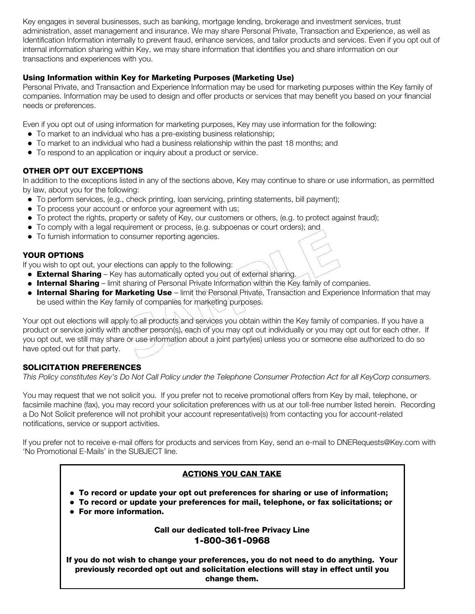Key engages in several businesses, such as banking, mortgage lending, brokerage and investment services, trust administration, asset management and insurance. We may share Personal Private, Transaction and Experience, as well as Identification Information internally to prevent fraud, enhance services, and tailor products and services. Even if you opt out of internal information sharing within Key, we may share information that identifies you and share information on our transactions and experiences with you.

# **Using Information within Key for Marketing Purposes (Marketing Use)**

Personal Private, and Transaction and Experience Information may be used for marketing purposes within the Key family of companies. Information may be used to design and offer products or services that may benefit you based on your financial needs or preferences.

Even if you opt out of using information for marketing purposes, Key may use information for the following:

- To market to an individual who has a pre-existing business relationship;
- To market to an individual who had a business relationship within the past 18 months; and
- To respond to an application or inquiry about a product or service.

# **OTHER OPT OUT EXCEPTIONS**

In addition to the exceptions listed in any of the sections above, Key may continue to share or use information, as permitted by law, about you for the following:

- To perform services, (e.g., check printing, loan servicing, printing statements, bill payment);
- To process your account or enforce your agreement with us;
- To protect the rights, property or safety of Key, our customers or others, (e.g. to protect against fraud);
- To comply with a legal requirement or process, (e.g. subpoenas or court orders); and
- To furnish information to consumer reporting agencies.

# **YOUR OPTIONS**

If you wish to opt out, your elections can apply to the following:

- **External Sharing** Key has automatically opted you out of external sharing
- **Internal Sharing** limit sharing of Personal Private Information within the Key family of companies.
- **Internal Sharing for Marketing Use** limit the Rersonal Private, Transaction and Experience Information that may be used within the Key family of companies for marketing purposes.

Your opt out elections will apply to all products and services you obtain within the Key family of companies. If you have a product or service jointly with another person(s), each of you may opt out individually or you may opt out for each other. If you opt out, we still may share or use information about a joint party(ies) unless you or someone else authorized to do so have opted out for that party.

# **SOLICITATION PREFERENCES**

*This Policy constitutes Key's Do Not Call Policy under the Telephone Consumer Protection Act for all KeyCorp consumers.*

You may request that we not solicit you. If you prefer not to receive promotional offers from Key by mail, telephone, or facsimile machine (fax), you may record your solicitation preferences with us at our toll-free number listed herein. Recording a Do Not Solicit preference will not prohibit your account representative(s) from contacting you for account-related notifications, service or support activities.

If you prefer not to receive e-mail offers for products and services from Key, send an e-mail to DNERequests@Key.com with 'No Promotional E-Mails' in the SUBJECT line.

# **ACTIONS YOU CAN TAKE**

- To record or update your opt out preferences for sharing or use of information;
- To record or update your preferences for mail, telephone, or fax solicitations; or
- **For more information.**

**Call our dedicated toll-free Privacy Line 1-800-361-0968**

**If you do not wish to change your preferences, you do not need to do anything. Your previously recorded opt out and solicitation elections will stay in effect until you change them.**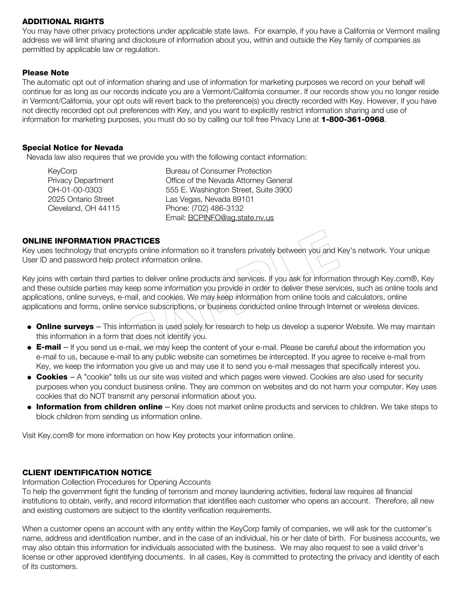# **ADDITIONAL RIGHTS**

You may have other privacy protections under applicable state laws. For example, if you have a California or Vermont mailing address we will limit sharing and disclosure of information about you, within and outside the Key family of companies as permitted by applicable law or regulation.

# **Please Note**

The automatic opt out of information sharing and use of information for marketing purposes we record on your behalf will continue for as long as our records indicate you are a Vermont/California consumer. If our records show you no longer reside in Vermont/California, your opt outs will revert back to the preference(s) you directly recorded with Key. However, if you have not directly recorded opt out preferences with Key, and you want to explicitly restrict information sharing and use of information for marketing purposes, you must do so by calling our toll free Privacy Line at **1-800-361-0968**.

# **Special Notice for Nevada**

Nevada law also requires that we provide you with the following contact information:

KeyCorp Privacy Department OH-01-00-0303 2025 Ontario Street Cleveland, OH 44115 Bureau of Consumer Protection Office of the Nevada Attorney General 555 E. Washington Street, Suite 3900 Las Vegas, Nevada 89101 Phone: (702) 486-3132 Email: BCPINFO@ag.state.nv.us

# **ONLINE INFORMATION PRACTICES**

Key uses technology that encrypts online information so it transfers privately between you and Key's network. Your unique User ID and password help protect information online.

Key joins with certain third parties to deliver online products and services. If you ask for information through Key.com®, Key and these outside parties may keep some information you provide in order to deliver these services, such as online tools and applications, online surveys, e-mail, and cookies. We may keep information from online tools and calculators, online applications and forms, online service subscriptions, or business conducted online through Internet or wireless devices.

- **Online surveys** This information is used solely for research to help us develop a superior Website. We may maintain this information in a form that does not identify you.
- **E-mail** If you send us e-mail, we may keep the content of your e-mail. Please be careful about the information you e-mail to us, because e-mail to any public website can sometimes be intercepted. If you agree to receive e-mail from Key, we keep the information you give us and may use it to send you e-mail messages that specifically interest you.
- Cookies A "cookie" tells us our site was visited and which pages were viewed. Cookies are also used for security purposes when you conduct business online. They are common on websites and do not harm your computer. Key uses cookies that do NOT transmit any personal information about you.
- **Information from children online** Key does not market online products and services to children. We take steps to block children from sending us information online.

Visit Key.com® for more information on how Key protects your information online.

# **CLIENT IDENTIFICATION NOTICE**

Information Collection Procedures for Opening Accounts

To help the government fight the funding of terrorism and money laundering activities, federal law requires all financial institutions to obtain, verify, and record information that identifies each customer who opens an account. Therefore, all new and existing customers are subject to the identity verification requirements.

When a customer opens an account with any entity within the KeyCorp family of companies, we will ask for the customer's name, address and identification number, and in the case of an individual, his or her date of birth. For business accounts, we may also obtain this information for individuals associated with the business. We may also request to see a valid driver's license or other approved identifying documents. In all cases, Key is committed to protecting the privacy and identity of each of its customers.